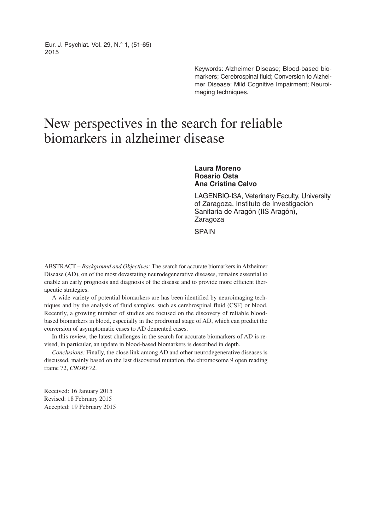Eur. J. Psychiat. Vol. 29, N.° 1, (51-65) 2015

> Keywords: Alzheimer Disease; Blood-based biomarkers; Cerebrospinal fluid; Conversion to Alzheimer Disease; Mild Cognitive Impairment; Neuroimaging techniques.

# New perspectives in the search for reliable biomarkers in alzheimer disease

**Laura Moreno Rosario Osta Ana Cristina Calvo**

LAGENBIO-I3A, Veterinary Faculty, University of Zaragoza, Instituto de Investigación Sanitaria de Aragón (IIS Aragón), Zaragoza

**SPAIN** 

ABSTRACT – *Background and Objectives:* The search for accurate biomarkers in Alzheimer Disease (AD), on of the most devastating neurodegenerative diseases, remains essential to enable an early prognosis and diagnosis of the disease and to provide more efficient therapeutic strategies.

A wide variety of potential biomarkers are has been identified by neuroimaging techniques and by the analysis of fluid samples, such as cerebrospinal fluid (CSF) or blood. Recently, a growing number of studies are focused on the discovery of reliable bloodbased biomarkers in blood, especially in the prodromal stage of AD, which can predict the conversion of asymptomatic cases to AD demented cases.

In this review, the latest challenges in the search for accurate biomarkers of AD is revised, in particular, an update in blood-based biomarkers is described in depth.

*Conclusions:* Finally, the close link among AD and other neurodegenerative diseases is discussed, mainly based on the last discovered mutation, the chromosome 9 open reading frame 72, *C9ORF72*.

Received: 16 January 2015 Revised: 18 February 2015 Accepted: 19 February 2015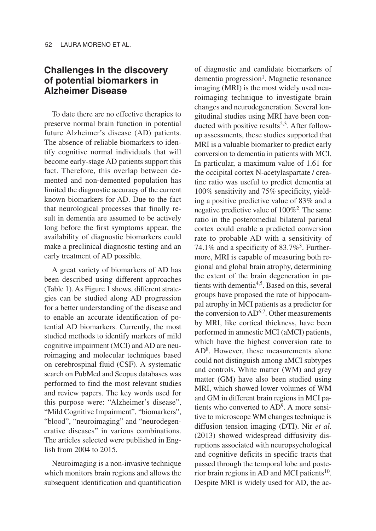## **Challenges in the discovery of potential biomarkers in Alzheimer Disease**

To date there are no effective therapies to preserve normal brain function in potential future Alzheimer's disease (AD) patients. The absence of reliable biomarkers to identify cognitive normal individuals that will become early-stage AD patients support this fact. Therefore, this overlap between demented and non-demented population has limited the diagnostic accuracy of the current known biomarkers for AD. Due to the fact that neurological processes that finally result in dementia are assumed to be actively long before the first symptoms appear, the availability of diagnostic biomarkers could make a preclinical diagnostic testing and an early treatment of AD possible.

A great variety of biomarkers of AD has been described using different approaches (Table 1). As Figure 1 shows, different strategies can be studied along AD progression for a better understanding of the disease and to enable an accurate identification of potential AD biomarkers. Currently, the most studied methods to identify markers of mild cognitive impairment (MCI) and AD are neuroimaging and molecular techniques based on cerebrospinal fluid (CSF). A systematic search on PubMed and Scopus databases was performed to find the most relevant studies and review papers. The key words used for this purpose were: "Alzheimer's disease", "Mild Cognitive Impairment", "biomarkers", "blood", "neuroimaging" and "neurodegenerative diseases" in various combinations. The articles selected were published in English from 2004 to 2015.

Neuroimaging is a non-invasive technique which monitors brain regions and allows the subsequent identification and quantification of diagnostic and candidate biomarkers of dementia progression<sup>1</sup>. Magnetic resonance imaging (MRI) is the most widely used neuroimaging technique to investigate brain changes and neurodegeneration. Several longitudinal studies using MRI have been conducted with positive results $2,3$ . After followup assessments, these studies supported that MRI is a valuable biomarker to predict early conversion to dementia in patients with MCI. In particular, a maximum value of 1.61 for the occipital cortex N-acetylaspartate / creatine ratio was useful to predict dementia at 100% sensitivity and 75% specificity, yielding a positive predictive value of 83% and a negative predictive value of 100%2. The same ratio in the posteromedial bilateral parietal cortex could enable a predicted conversion rate to probable AD with a sensitivity of 74.1% and a specificity of 83.7%3. Furthermore, MRI is capable of measuring both regional and global brain atrophy, determining the extent of the brain degeneration in patients with dementia<sup>4,5</sup>. Based on this, several groups have proposed the rate of hippocampal atrophy in MCI patients as a predictor for the conversion to  $AD^{6,7}$ . Other measurements by MRI, like cortical thickness, have been performed in amnestic MCI (aMCI) patients, which have the highest conversion rate to AD8. However, these measurements alone could not distinguish among aMCI subtypes and controls. White matter (WM) and grey matter (GM) have also been studied using MRI, which showed lower volumes of WM and GM in different brain regions in MCI patients who converted to AD9. A more sensitive to microscope WM changes technique is diffusion tension imaging (DTI). Nir *et al*. (2013) showed widespread diffusivity disruptions associated with neuropsychological and cognitive deficits in specific tracts that passed through the temporal lobe and posterior brain regions in AD and MCI patients<sup>10</sup>. Despite MRI is widely used for AD, the ac-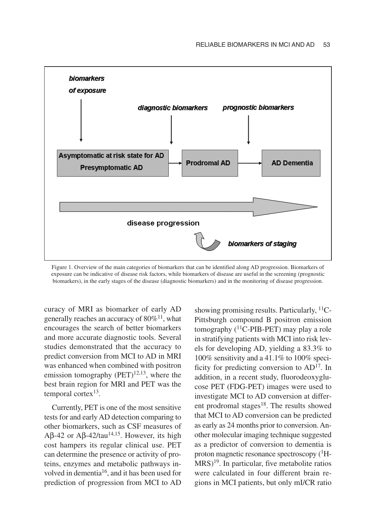

Figure 1. Overview of the main categories of biomarkers that can be identified along AD progression. Biomarkers of exposure can be indicative of disease risk factors, while biomarkers of disease are useful in the screening (prognostic biomarkers), in the early stages of the disease (diagnostic biomarkers) and in the monitoring of disease progression.

curacy of MRI as biomarker of early AD generally reaches an accuracy of  $80\%$ <sup>11</sup>, what encourages the search of better biomarkers and more accurate diagnostic tools. Several studies demonstrated that the accuracy to predict conversion from MCI to AD in MRI was enhanced when combined with positron emission tomography  $(PET)^{12,13}$ , where the best brain region for MRI and PET was the temporal cortex $13$ .

Currently, PET is one of the most sensitive tests for and early AD detection comparing to other biomarkers, such as CSF measures of Aβ-42 or Aβ-42/tau<sup>14,15</sup>. However, its high cost hampers its regular clinical use. PET can determine the presence or activity of proteins, enzymes and metabolic pathways involved in dementia16, and it has been used for prediction of progression from MCI to AD showing promising results. Particularly,  $^{11}C$ -Pittsburgh compound B positron emission tomography  $(^{11}C$ -PIB-PET) may play a role in stratifying patients with MCI into risk levels for developing AD, yielding a 83.3% to 100% sensitivity and a 41.1% to 100% specificity for predicting conversion to AD17. In addition, in a recent study, fluorodeoxyglucose PET (FDG-PET) images were used to investigate MCI to AD conversion at different prodromal stages $18$ . The results showed that MCI to AD conversion can be predicted as early as 24 months prior to conversion. Another molecular imaging technique suggested as a predictor of conversion to dementia is proton magnetic resonance spectroscopy  $(^1H$ - $MRS$ <sup>19</sup>. In particular, five metabolite ratios were calculated in four different brain regions in MCI patients, but only mI/CR ratio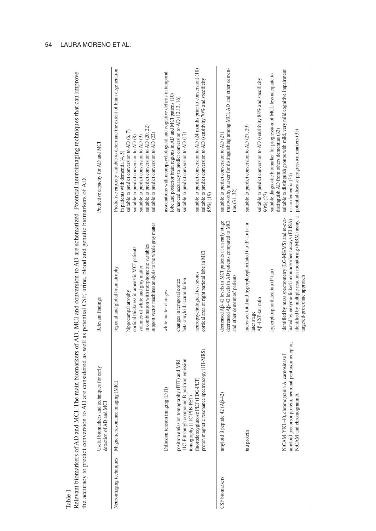| the accuracy to predict conversion |                                                                                                                                       | to AD are considered as well as potential CSF, urine, blood and genetic biomarkers of AD                                                                                                                          | IZE ARE STATED AND THE HIGH THE HIGH STATED OF ALLY ANDERES OF ALLY INCLUDED AND THE SUITED SUITED AND THE SECRET AND THE SERVICE OF A STATED OF A STATED AND THE STATED OF A STATED AND THE STATED AND THE STATED AND THE STA    |
|------------------------------------|---------------------------------------------------------------------------------------------------------------------------------------|-------------------------------------------------------------------------------------------------------------------------------------------------------------------------------------------------------------------|-----------------------------------------------------------------------------------------------------------------------------------------------------------------------------------------------------------------------------------|
|                                    | and techniques for early<br>detection of AD and MCI<br>Useful biomarkers                                                              | Relevant findings                                                                                                                                                                                                 | Predictive capacity for AD and MCI                                                                                                                                                                                                |
| Neuroimaging techniques            | Magnetic resonance imaging (MRI)                                                                                                      | regional and global brain atrophy                                                                                                                                                                                 | Predictive capacity suitable to determine the extent of brain degeneration<br>in patients with dementia $(4, 5)$                                                                                                                  |
|                                    |                                                                                                                                       | support vector machines analysis to the whole gray matter<br>in combination with morphometric variables<br>cortical thickness in annestic MCI patients<br>volumes of white and gray matter<br>hippocampal atrophy | suitable to predict conversion to AD (20, 22)<br>suitable to predict conversion to AD (6, 7)<br>suitable to predict conversion to AD (22)<br>suitable to predict conversion to AD (8)<br>suitable to predict conversion to AD (9) |
|                                    | Diffusion tension imaging (DTI)                                                                                                       | white matter changes                                                                                                                                                                                              | associations with neuropsychological and cognitive deficits in temporal<br>lobe and posterior brain regions in AD and MCI patiens (10)                                                                                            |
|                                    | 11C-Pittsburgh compound B positron emission<br>positron emission tomography (PET) and MRI                                             | beta-amyloid accumulation<br>changes in temporal cortex                                                                                                                                                           | enhanced accuracy to predict conversion to AD (12,13, 16)<br>suitable to predict conversion to AD (17)                                                                                                                            |
|                                    | proton magnetic resonance spectroscopy (IH-MRS)<br>fluorodeoxyglucose PET (FDG-PET)<br>tomography (11C-PIB-PET)                       | cortical area of right parietal lobe in MCI<br>neuropsychological test scores                                                                                                                                     | suitable to predict conversion to AD (24 months prior to conversion) $(18)$<br>suitable to predict conversion to AD (sensitivity 70% and specificity<br>85%) (19)                                                                 |
| CSF biomarkers                     | 42 (AB-42)<br>amyloid <b>B</b> peptide                                                                                                | decreased AB-42 levels in MCI patients at an early stage<br>decreased A $\beta$ -42 levels in AD patients compared to MCI<br>and other dementias' patients                                                        | trustworthy marker for distinguishing among MCI, AD and other demen-<br>suitable to predict conversion to AD (27)<br>$\tan(31, 32)$                                                                                               |
|                                    | tau protein                                                                                                                           | increased total and hyperphosphorilated tau (P-tau) at a<br>Aß-42/P-tau ratio<br>later stage                                                                                                                      | suitable to predict conversion to AD (sensitivity 88% and specificity<br>suitable to predict conversion to AD (27, 29)                                                                                                            |
|                                    |                                                                                                                                       | hyperphosphorilated tau (P-tau)                                                                                                                                                                                   | suitable diagnostic biomarker for progression of MCI, less adequate to<br>90%) (27)                                                                                                                                               |
|                                    | protein, neuronal pentraxin receptor,<br>NrCAM, YKL-40, chromogranin A, camosinase I<br>NrCAM and chromogranin A<br>amyloid precursor | identified by multiple reaction monitoring (MRM) assay, a<br>identified by mass spectrometry (LC-MS/MS) and re-eva-<br>luated by enzyme-linked immunosorbent assays (ELISA)<br>argeted-proteomic approach         | suitable to distinguish groups with mild, very mild cognitive impairment<br>distinguish AD from others dementias (33)<br>potential disease progression markers (35)<br>or no dementia (34)                                        |
|                                    |                                                                                                                                       |                                                                                                                                                                                                                   |                                                                                                                                                                                                                                   |

ematized. Potential neuroimaging techniques that can improve Relevant biomarkers of AD and MCI. The main biomarkers of AD, MCI and conversion to AD are schematized. Potential neuroimaging techniques that can improve ech. ers of AD. MCI and conversion to AD are Table 1<br>Relevant biomarkers of AD and MCI. The main biomarke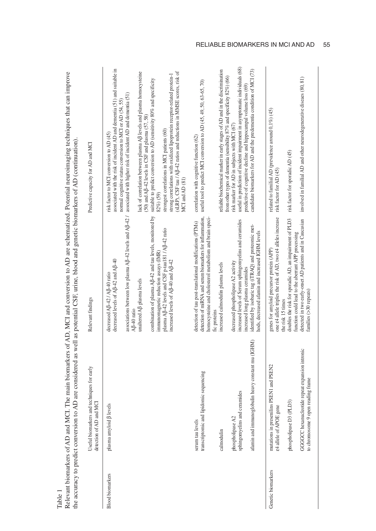|                         |                                                                                                                                                                                       | the accuracy to predict conversion to AD are considered as well as potential CSF, urine, blood and genetic biomarkers of AD (continuation)                                                                                                                                                                                                                                                |                                                                                                                                                                                                                                                                                                                                                                                                                                                                                                                                                                                                                                                                                                                 |
|-------------------------|---------------------------------------------------------------------------------------------------------------------------------------------------------------------------------------|-------------------------------------------------------------------------------------------------------------------------------------------------------------------------------------------------------------------------------------------------------------------------------------------------------------------------------------------------------------------------------------------|-----------------------------------------------------------------------------------------------------------------------------------------------------------------------------------------------------------------------------------------------------------------------------------------------------------------------------------------------------------------------------------------------------------------------------------------------------------------------------------------------------------------------------------------------------------------------------------------------------------------------------------------------------------------------------------------------------------------|
|                         | Useful biomarkers and techniques for early<br>detection of AD and MCI                                                                                                                 | Relevant findings                                                                                                                                                                                                                                                                                                                                                                         | Predictive capacity for AD and MCI                                                                                                                                                                                                                                                                                                                                                                                                                                                                                                                                                                                                                                                                              |
| <b>Blood</b> biomarkers | plasma amyloid $\beta$ levels                                                                                                                                                         | associations between low plasma AB-42 levels and AB-42 /<br>combination of plasma Aß-42 and tau levels, monitored by<br>plasma AB-42 levels and CSF p-tau181 / AB-42 ratio<br>immunomagnetic reduction assays (IMR<br>decreased levels of AB-42 and AB-40<br>increased levels of AB-40 and AB-42<br>decreased AB-42/AB-40 ratio<br>unaltered Aß plasma levels<br>A <sub>B</sub> -40 ratio | associated with the risk of incident AD and dementia $(51)$ and suitable in<br>(sLRP), CSF tau / A $\beta$ -42 ratios and reductions in MMSE scores, risk of<br>lack of correlation between plasma AB levels and plasma homocysteine<br>strong correlations with oxidized lipoprotein receptor-related protein-1<br>suitable to predict conversion to AD (sensitivity 80% and specificity<br>associated with higher risk of incident AD and dementia (51)<br>normal cognitive status conversion to MCI or AD (54, 55)<br>$(50)$ and A $\beta$ -42 levels in CSF and plasma $(57, 58)$<br>strongest correlations in MCI patients (60)<br>risk factor to MCI conversion to AD (45)<br>MCI and AD (81)<br>82%)(59) |
|                         | lipidomic sequencing<br>transcriptomic and<br>phospholipase A2<br>serum tau levels<br>calmodulin                                                                                      | detection of miRNA and serum biomarkers for inflammation,<br>homocysteine and cholesterol metabolism and brain speci-<br>detection of tau post-translational modifications (PTMs)<br>decreased phospholipase A2 activity<br>increased calmodulin plasma levels<br>fic proteins                                                                                                            | reliable biochemical marker in early stages of AD and in the discrimination<br>from other types of dementia (sensibility 87% and specificity 82%) (66)<br>useful tool to predict MCI conversion to AD (45, 49, 50, 63-65, 70)<br>risk marker for AD in subjects with MCI (67)<br>correlation with cognitive function (62)                                                                                                                                                                                                                                                                                                                                                                                       |
|                         | afamin and immunoglobulin heavy constant mu (IGHM)<br>sphingomyelins and ceramides                                                                                                    | increased levels of Serum sphingomyelins and ceramides<br>identified by isobaric tag (iTRAQ) and proteomic met-<br>hods, decreased afamin and increased IGHM levels<br>increased long plasma ceramides                                                                                                                                                                                    | useful in prediction of incident impairment in asymptomatic individuals (68)<br>candidate biomarkers for AD and the predementia condition of MCI (73)<br>predictive of cognitive decline and hippocampal volume loss (69)                                                                                                                                                                                                                                                                                                                                                                                                                                                                                       |
| Genetic biomarkers      | GGGCC hexanucleotide repeat expansion intronic<br>mutations in presenilins PSEN1 and PSEN2<br>to chromosome 9 open reading frame<br>phospholipase D3 (PLD3)<br>£4 allele of APOE gene | one £4 allele triples the risk of AD, two £4 alleles increase<br>doubles the risk for sporadic AD, an impairment of PLD3<br>detected in two early-onset AD patients and in Caucasian<br>function could lead to the aberrant APP processing<br>genes for amyloid precursor protein (APP)<br>families $( > 30$ repeats)<br>the risk 15 times                                                | involved in familial AD and other neurodegenerative diseaes (80, 81)<br>related to familial AD (prevalence around 0,1%) (45)<br>risk factor for sporadic AD (45)<br>risk factor for AD (45)                                                                                                                                                                                                                                                                                                                                                                                                                                                                                                                     |

nversion to AD are schematized. Potential neuroimaging techniques that can improve Relevant biomarkers of AD and MCI. The main biomarkers of AD, MCI and conversion to AD are schematized. Potential neuroimaging techniques that can improve  $\alpha$  AD MCI and  $\alpha$  $\ddot{\cdot}$  $m \alpha r$ main hio and MCI The  $\alpha$ <sup> $f$ </sup>  $\Lambda$  D marlzaro Table 1<br>Relevant bior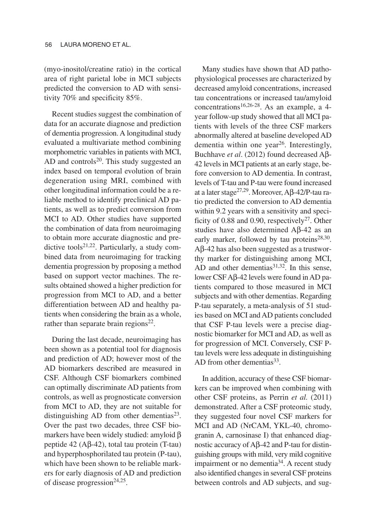(myo-inositol/creatine ratio) in the cortical area of right parietal lobe in MCI subjects predicted the conversion to AD with sensitivity 70% and specificity 85%.

Recent studies suggest the combination of data for an accurate diagnose and prediction of dementia progression. A longitudinal study evaluated a multivariate method combining morphometric variables in patients with MCI, AD and controls $20$ . This study suggested an index based on temporal evolution of brain degeneration using MRI, combined with other longitudinal information could be a reliable method to identify preclinical AD patients, as well as to predict conversion from MCI to AD. Other studies have supported the combination of data from neuroimaging to obtain more accurate diagnostic and predictive tools<sup>21,22</sup>. Particularly, a study combined data from neuroimaging for tracking dementia progression by proposing a method based on support vector machines. The results obtained showed a higher prediction for progression from MCI to AD, and a better differentiation between AD and healthy patients when considering the brain as a whole, rather than separate brain regions $22$ .

During the last decade, neuroimaging has been shown as a potential tool for diagnosis and prediction of AD; however most of the AD biomarkers described are measured in CSF. Although CSF biomarkers combined can optimally discriminate AD patients from controls, as well as prognosticate conversion from MCI to AD, they are not suitable for distinguishing AD from other dementias $23$ . Over the past two decades, three CSF biomarkers have been widely studied: amyloid β peptide 42 ( $A\beta$ -42), total tau protein (T-tau) and hyperphosphorilated tau protein (P-tau), which have been shown to be reliable markers for early diagnosis of AD and prediction of disease progression<sup>24,25</sup>.

Many studies have shown that AD pathophysiological processes are characterized by decreased amyloid concentrations, increased tau concentrations or increased tau/amyloid concentrations<sup>16,26-28</sup>. As an example, a 4year follow-up study showed that all MCI patients with levels of the three CSF markers abnormally altered at baseline developed AD dementia within one year<sup>26</sup>. Interestingly, Buchhave *et al*. (2012) found decreased Aβ-42 levels in MCI patients at an early stage, before conversion to AD dementia. In contrast, levels of T-tau and P-tau were found increased at a later stage27,29. Moreover, Aβ-42/P-tau ratio predicted the conversion to AD dementia within 9.2 years with a sensitivity and specificity of 0.88 and 0.90, respectively<sup>27</sup>. Other studies have also determined Aβ-42 as an early marker, followed by tau proteins<sup>28,30</sup>. Aβ-42 has also been suggested as a trustworthy marker for distinguishing among MCI, AD and other dementias $31,32$ . In this sense, lower CSF Aβ-42 levels were found in AD patients compared to those measured in MCI subjects and with other dementias. Regarding P-tau separately, a meta-analysis of 51 studies based on MCI and AD patients concluded that CSF P-tau levels were a precise diagnostic biomarker for MCI and AD, as well as for progression of MCI. Conversely, CSF Ptau levels were less adequate in distinguishing AD from other dementias $33$ .

In addition, accuracy of these CSF biomarkers can be improved when combining with other CSF proteins, as Perrin *et al.* (2011) demonstrated. After a CSF proteomic study, they suggested four novel CSF markers for MCI and AD (NrCAM, YKL-40, chromogranin A, carnosinase I) that enhanced diagnostic accuracy of Aβ-42 and P-tau for distinguishing groups with mild, very mild cognitive impairment or no dementia34. A recent study also identified changes in several CSF proteins between controls and AD subjects, and sug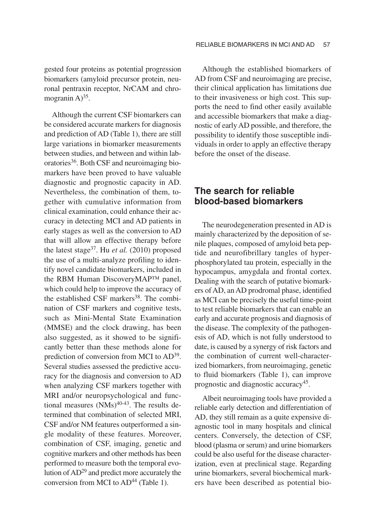gested four proteins as potential progression biomarkers (amyloid precursor protein, neuronal pentraxin receptor, NrCAM and chromogranin  $A$ )<sup>35</sup>.

Although the current CSF biomarkers can be considered accurate markers for diagnosis and prediction of AD (Table 1), there are still large variations in biomarker measurements between studies, and between and within laboratories36. Both CSF and neuroimaging biomarkers have been proved to have valuable diagnostic and prognostic capacity in AD. Nevertheless, the combination of them, together with cumulative information from clinical examination, could enhance their accuracy in detecting MCI and AD patients in early stages as well as the conversion to AD that will allow an effective therapy before the latest stage37. Hu *et al.* (2010) proposed the use of a multi-analyze profiling to identify novel candidate biomarkers, included in the RBM Human DiscoveryMAP™ panel, which could help to improve the accuracy of the established CSF markers<sup>38</sup>. The combination of CSF markers and cognitive tests, such as Mini-Mental State Examination (MMSE) and the clock drawing, has been also suggested, as it showed to be significantly better than these methods alone for prediction of conversion from MCI to AD39. Several studies assessed the predictive accuracy for the diagnosis and conversion to AD when analyzing CSF markers together with MRI and/or neuropsychological and functional measures  $(NMs)^{40-43}$ . The results determined that combination of selected MRI, CSF and/or NM features outperformed a single modality of these features. Moreover, combination of CSF, imaging, genetic and cognitive markers and other methods has been performed to measure both the temporal evolution of AD29 and predict more accurately the conversion from MCI to  $AD<sup>44</sup>$  (Table 1).

Although the established biomarkers of AD from CSF and neuroimaging are precise, their clinical application has limitations due to their invasiveness or high cost. This supports the need to find other easily available and accessible biomarkers that make a diagnostic of early AD possible, and therefore, the possibility to identify those susceptible individuals in order to apply an effective therapy before the onset of the disease.

## **The search for reliable blood-based biomarkers**

The neurodegeneration presented in AD is mainly characterized by the deposition of senile plaques, composed of amyloid beta peptide and neurofibrillary tangles of hyperphosphorylated tau protein, especially in the hypocampus, amygdala and frontal cortex. Dealing with the search of putative biomarkers of AD, an AD prodromal phase, identified as MCI can be precisely the useful time-point to test reliable biomarkers that can enable an early and accurate prognosis and diagnosis of the disease. The complexity of the pathogenesis of AD, which is not fully understood to date, is caused by a synergy of risk factors and the combination of current well-characterized biomarkers, from neuroimaging, genetic to fluid biomarkers (Table 1), can improve prognostic and diagnostic accuracy45.

Albeit neuroimaging tools have provided a reliable early detection and differentiation of AD, they still remain as a quite expensive diagnostic tool in many hospitals and clinical centers. Conversely, the detection of CSF, blood (plasma or serum) and urine biomarkers could be also useful for the disease characterization, even at preclinical stage. Regarding urine biomarkers, several biochemical markers have been described as potential bio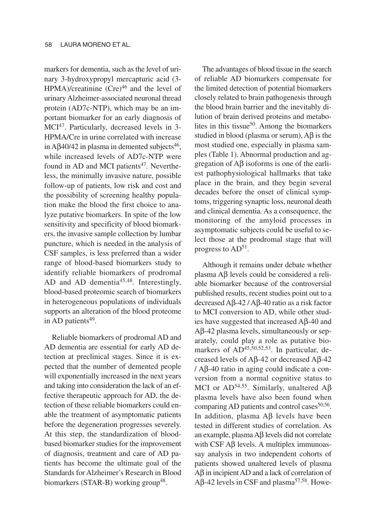markers for dementia, such as the level of urinary 3-hydroxypropyl mercapturic acid (3- HPMA)/creatinine  $(Cre)^{46}$  and the level of urinary Alzheimer-associated neuronal thread protein (AD7c-NTP), which may be an important biomarker for an early diagnosis of MCI<sup>47</sup>. Particularly, decreased levels in 3-HPMA/Cre in urine correlated with increase in Aβ40/42 in plasma in demented subjects<sup>46</sup>, while increased levels of AD7c-NTP were found in AD and MCI patients<sup>47</sup>. Nevertheless, the minimally invasive nature, possible follow-up of patients, low risk and cost and the possibility of screening healthy population make the blood the first choice to analyze putative biomarkers. In spite of the low sensitivity and specificity of blood biomarkers, the invasive sample collection by lumbar puncture, which is needed in the analysis of CSF samples, is less preferred than a wider range of blood-based biomarkers study to identify reliable biomarkers of prodromal AD and AD dementia<sup>45,48</sup>. Interestingly, blood-based proteomic search of biomarkers in heterogeneous populations of individuals supports an alteration of the blood proteome in AD patients<sup>49</sup>.

Reliable biomarkers of prodromal AD and AD dementia are essential for early AD detection at preclinical stages. Since it is expected that the number of demented people will exponentially increased in the next years and taking into consideration the lack of an effective therapeutic approach for AD, the detection of these reliable biomarkers could enable the treatment of asymptomatic patients before the degeneration progresses severely. At this step, the standardization of bloodbased biomarker studies for the improvement of diagnosis, treatment and care of AD patients has become the ultimate goal of the Standards for Alzheimer's Research in Blood biomarkers (STAR-B) working group<sup>48</sup>.

The advantages of blood tissue in the search of reliable AD biomarkers compensate for the limited detection of potential biomarkers closely related to brain pathogenesis through the blood brain barrier and the inevitably dilution of brain derived proteins and metabolites in this tissue<sup>50</sup>. Among the biomarkers studied in blood (plasma or serum), Aβ is the most studied one, especially in plasma samples (Table 1). Abnormal production and aggregation of Aβ isoforms is one of the earliest pathophysiological hallmarks that take place in the brain, and they begin several decades before the onset of clinical symptoms, triggering synaptic loss, neuronal death and clinical dementia. As a consequence, the monitoring of the amyloid processes in asymptomatic subjects could be useful to select those at the prodromal stage that will progress to  $AD^{51}$ .

Although it remains under debate whether plasma Aβ levels could be considered a reliable biomarker because of the controversial published results, recent studies point out to a decreased Aβ-42 / Aβ-40 ratio as a risk factor to MCI conversion to AD, while other studies have suggested that increased  $Aβ-40$  and Aβ-42 plasma levels, simultaneously or separately, could play a role as putative biomarkers of AD<sup>45,50,52,53</sup>. In particular, decreased levels of Aβ-42 or decreased Aβ-42 / Aβ-40 ratio in aging could indicate a conversion from a normal cognitive status to MCI or AD<sup>54,55</sup>. Similarly, unaltered Aβ plasma levels have also been found when comparing AD patients and control cases<sup>50,56</sup>. In addition, plasma Aβ levels have been tested in different studies of correlation. As an example, plasma Aβ levels did not correlate with CSF  $\text{A}$ β levels. A multiplex immunoassay analysis in two independent cohorts of patients showed unaltered levels of plasma  $A\beta$  in incipient AD and a lack of correlation of Aβ-42 levels in CSF and plasma<sup>57,58</sup>. Howe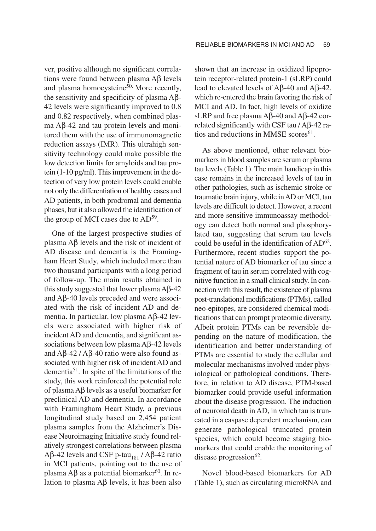ver, positive although no significant correlations were found between plasma Aβ levels and plasma homocysteine $50$ . More recently, the sensitivity and specificity of plasma Aβ-42 levels were significantly improved to 0.8 and 0.82 respectively, when combined plasma Aβ-42 and tau protein levels and monitored them with the use of immunomagnetic reduction assays (IMR). This ultrahigh sensitivity technology could make possible the low detection limits for amyloids and tau protein (1-10 pg/ml). This improvement in the detection of very low protein levels could enable not only the differentiation of healthy cases and AD patients, in both prodromal and dementia phases, but it also allowed the identification of the group of MCI cases due to  $AD^{59}$ .

One of the largest prospective studies of plasma Aβ levels and the risk of incident of AD disease and dementia is the Framingham Heart Study, which included more than two thousand participants with a long period of follow-up. The main results obtained in this study suggested that lower plasma Aβ-42 and Aβ-40 levels preceded and were associated with the risk of incident AD and dementia. In particular, low plasma Aβ-42 levels were associated with higher risk of incident AD and dementia, and significant associations between low plasma Aβ-42 levels and Aβ-42 / Aβ-40 ratio were also found associated with higher risk of incident AD and dementia<sup>51</sup>. In spite of the limitations of the study, this work reinforced the potential role of plasma Aβ levels as a useful biomarker for preclinical AD and dementia. In accordance with Framingham Heart Study, a previous longitudinal study based on 2,454 patient plasma samples from the Alzheimer's Disease Neuroimaging Initiative study found relatively strongest correlations between plasma Aβ-42 levels and CSF p-tau<sub>181</sub> / Aβ-42 ratio in MCI patients, pointing out to the use of plasma  $\text{A}\beta$  as a potential biomarker<sup>60</sup>. In relation to plasma Aβ levels, it has been also shown that an increase in oxidized lipoprotein receptor-related protein-1 (sLRP) could lead to elevated levels of Aβ-40 and Aβ-42, which re-entered the brain favoring the risk of MCI and AD. In fact, high levels of oxidize sLRP and free plasma Aβ-40 and Aβ-42 correlated significantly with CSF tau / Aβ-42 ratios and reductions in MMSE scores $61$ .

As above mentioned, other relevant biomarkers in blood samples are serum or plasma tau levels (Table 1). The main handicap in this case remains in the increased levels of tau in other pathologies, such as ischemic stroke or traumatic brain injury, while in AD or MCI, tau levels are difficult to detect. However, a recent and more sensitive immunoassay methodology can detect both normal and phosphorylated tau, suggesting that serum tau levels could be useful in the identification of AD62. Furthermore, recent studies support the potential nature of AD biomarker of tau since a fragment of tau in serum correlated with cognitive function in a small clinical study. In connection with this result, the existence of plasma post-translational modifications (PTMs), called neo-epitopes, are considered chemical modifications that can prompt proteomic diversity. Albeit protein PTMs can be reversible depending on the nature of modification, the identification and better understanding of PTMs are essential to study the cellular and molecular mechanisms involved under physiological or pathological conditions. Therefore, in relation to AD disease, PTM-based biomarker could provide useful information about the disease progression. The induction of neuronal death in AD, in which tau is truncated in a caspase dependent mechanism, can generate pathological truncated protein species, which could become staging biomarkers that could enable the monitoring of disease progression $62$ .

Novel blood-based biomarkers for AD (Table 1), such as circulating microRNA and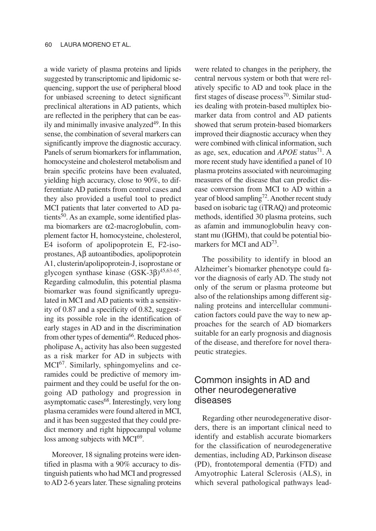a wide variety of plasma proteins and lipids suggested by transcriptomic and lipidomic sequencing, support the use of peripheral blood for unbiased screening to detect significant preclinical alterations in AD patients, which are reflected in the periphery that can be easily and minimally invasive analyzed<sup>49</sup>. In this sense, the combination of several markers can significantly improve the diagnostic accuracy. Panels of serum biomarkers for inflammation, homocysteine and cholesterol metabolism and brain specific proteins have been evaluated, yielding high accuracy, close to 90%, to differentiate AD patients from control cases and they also provided a useful tool to predict MCI patients that later converted to AD patients $50$ . As an example, some identified plasma biomarkers are α2-macroglobulin, complement factor H, homocysteine, cholesterol, E4 isoform of apolipoprotein E, F2-isoprostanes, Aβ autoantibodies, apolipoprotein A1, clusterin/apolipoprotein-J, isoprostane or glycogen synthase kinase (GSK-3β)45,63-65. Regarding calmodulin, this potential plasma biomarker was found significantly upregulated in MCI and AD patients with a sensitivity of 0.87 and a specificity of 0.82, suggesting its possible role in the identification of early stages in AD and in the discrimination from other types of dementia<sup>66</sup>. Reduced phospholipase  $A<sub>2</sub>$  activity has also been suggested as a risk marker for AD in subjects with MCI67. Similarly, sphingomyelins and ceramides could be predictive of memory impairment and they could be useful for the ongoing AD pathology and progression in asymptomatic cases<sup>68</sup>. Interestingly, very long plasma ceramides were found altered in MCI, and it has been suggested that they could predict memory and right hippocampal volume loss among subjects with MCI<sup>69</sup>.

Moreover, 18 signaling proteins were identified in plasma with a 90% accuracy to distinguish patients who had MCI and progressed to AD 2-6 years later. These signaling proteins were related to changes in the periphery, the central nervous system or both that were relatively specific to AD and took place in the first stages of disease process<sup>70</sup>. Similar studies dealing with protein-based multiplex biomarker data from control and AD patients showed that serum protein-based biomarkers improved their diagnostic accuracy when they were combined with clinical information, such as age, sex, education and *APOE* status<sup>71</sup>. A more recent study have identified a panel of 10 plasma proteins associated with neuroimaging measures of the disease that can predict disease conversion from MCI to AD within a year of blood sampling<sup>72</sup>. Another recent study based on isobaric tag (iTRAQ) and proteomic methods, identified 30 plasma proteins, such as afamin and immunoglobulin heavy constant mu (IGHM), that could be potential biomarkers for MCI and AD<sup>73</sup>.

The possibility to identify in blood an Alzheimer's biomarker phenotype could favor the diagnosis of early AD. The study not only of the serum or plasma proteome but also of the relationships among different signaling proteins and intercellular communication factors could pave the way to new approaches for the search of AD biomarkers suitable for an early prognosis and diagnosis of the disease, and therefore for novel therapeutic strategies.

## Common insights in AD and other neurodegenerative diseases

Regarding other neurodegenerative disorders, there is an important clinical need to identify and establish accurate biomarkers for the classification of neurodegenerative dementias, including AD, Parkinson disease (PD), frontotemporal dementia (FTD) and Amyotrophic Lateral Sclerosis (ALS), in which several pathological pathways lead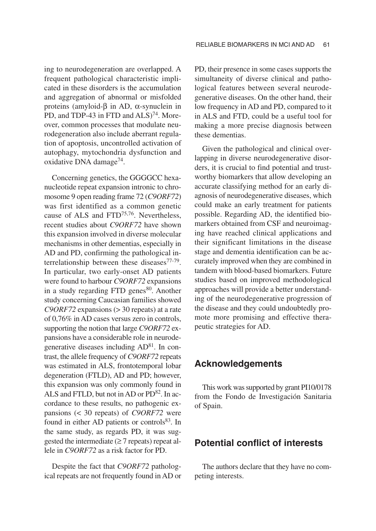ing to neurodegeneration are overlapped. A frequent pathological characteristic implicated in these disorders is the accumulation and aggregation of abnormal or misfolded proteins (amyloid-β in AD, α-synuclein in PD, and TDP-43 in FTD and ALS)<sup>74</sup>. Moreover, common processes that modulate neurodegeneration also include aberrant regulation of apoptosis, uncontrolled activation of autophagy, mytochondria dysfunction and oxidative DNA damage<sup>74</sup>.

Concerning genetics, the GGGGCC hexanucleotide repeat expansion intronic to chromosome 9 open reading frame 72 (*C9ORF72*) was first identified as a common genetic cause of ALS and FTD75,76. Nevertheless, recent studies about *C9ORF72* have shown this expansion involved in diverse molecular mechanisms in other dementias, especially in AD and PD, confirming the pathological interrelationship between these diseases<sup>77-79</sup>. In particular, two early-onset AD patients were found to harbour *C9ORF72* expansions in a study regarding FTD genes $80$ . Another study concerning Caucasian families showed *C9ORF72* expansions (> 30 repeats) at a rate of 0,76% in AD cases versus zero in controls, supporting the notion that large *C9ORF72* expansions have a considerable role in neurodegenerative diseases including AD81. In contrast, the allele frequency of *C9ORF72* repeats was estimated in ALS, frontotemporal lobar degeneration (FTLD), AD and PD; however, this expansion was only commonly found in ALS and FTLD, but not in AD or PD<sup>82</sup>. In accordance to these results, no pathogenic expansions (< 30 repeats) of *C9ORF72* were found in either AD patients or controls<sup>83</sup>. In the same study, as regards PD, it was suggested the intermediate  $(\geq 7 \text{ repeats})$  repeat allele in *C9ORF72* as a risk factor for PD.

Despite the fact that *C9ORF72* pathological repeats are not frequently found in AD or PD, their presence in some cases supports the simultaneity of diverse clinical and pathological features between several neurodegenerative diseases. On the other hand, their low frequency in AD and PD, compared to it in ALS and FTD, could be a useful tool for making a more precise diagnosis between these dementias.

Given the pathological and clinical overlapping in diverse neurodegenerative disorders, it is crucial to find potential and trustworthy biomarkers that allow developing an accurate classifying method for an early diagnosis of neurodegenerative diseases, which could make an early treatment for patients possible. Regarding AD, the identified biomarkers obtained from CSF and neuroimaging have reached clinical applications and their significant limitations in the disease stage and dementia identification can be accurately improved when they are combined in tandem with blood-based biomarkers. Future studies based on improved methodological approaches will provide a better understanding of the neurodegenerative progression of the disease and they could undoubtedly promote more promising and effective therapeutic strategies for AD.

### **Acknowledgements**

This work was supported by grant PI10/0178 from the Fondo de Investigación Sanitaria of Spain.

## **Potential conflict of interests**

The authors declare that they have no competing interests.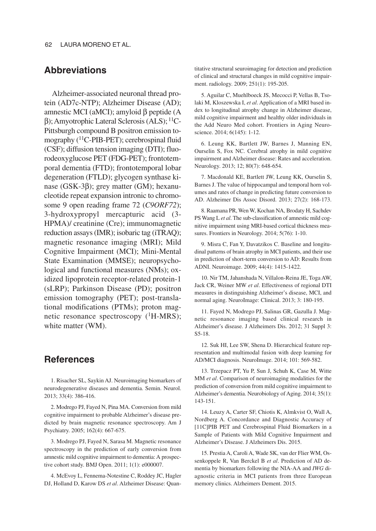## **Abbreviations**

Alzheimer-associated neuronal thread protein (AD7c-NTP); Alzheimer Disease (AD); amnestic MCI (aMCI); amyloid β peptide (A β); Amyotrophic Lateral Sclerosis (ALS); 11C-Pittsburgh compound B positron emission tomography (<sup>11</sup>C-PIB-PET); cerebrospinal fluid (CSF); diffusion tension imaging (DTI); fluorodeoxyglucose PET (FDG-PET); frontotemporal dementia (FTD); frontotemporal lobar degeneration (FTLD); glycogen synthase kinase (GSK-3β); grey matter (GM); hexanucleotide repeat expansion intronic to chromosome 9 open reading frame 72 (*C9ORF72*); 3-hydroxypropyl mercapturic acid (3- HPMA)/ creatinine (Cre); immunomagnetic reduction assays (IMR); isobaric tag (iTRAQ); magnetic resonance imaging (MRI); Mild Cognitive Impairment (MCI); Mini-Mental State Examination (MMSE); neuropsychological and functional measures (NMs); oxidized lipoprotein receptor-related protein-1 (sLRP); Parkinson Disease (PD); positron emission tomography (PET); post-translational modifications (PTMs); proton magnetic resonance spectroscopy (<sup>1</sup>H-MRS); white matter (WM).

## **References**

1. Risacher SL, Saykin AJ. Neuroimaging biomarkers of neurodegenerative diseases and dementia. Semin. Neurol. 2013; 33(4): 386-416.

2. Modrego PJ, Fayed N, Pina MA. Conversion from mild cognitive impairment to probable Alzheimer's disease predicted by brain magnetic resonance spectroscopy. Am J Psychiatry. 2005; 162(4): 667-675.

3. Modrego PJ, Fayed N, Sarasa M. Magnetic resonance spectroscopy in the prediction of early conversion from amnestic mild cognitive impairment to dementia: A prospective cohort study. BMJ Open. 2011; 1(1): e000007.

4. McEvoy L, Fennema-Notestine C, Roddey JC, Hagler DJ, Holland D, Karow DS *et al*. Alzheimer Disease: Quantitative structural seuroimaging for detection and prediction of clinical and structural changes in mild cognitive impairment. radiology. 2009; 251(1): 195-205.

5. Aguilar C, Muehlboeck JS, Mecocci P, Vellas B, Tsolaki M, Kloszewska I, *et al*. Application of a MRI based index to longitudinal atrophy change in Alzheimer disease, mild cognitive impairment and healthy older individuals in the Add Neuro Med cohort. Frontiers in Aging Neuroscience. 2014; 6(145): 1-12.

6. Leung KK, Bartlett JW, Barnes J, Manning EN, Ourselin S, Fox NC. Cerebral atrophy in mild cognitive impairment and Alzheimer disease: Rates and acceleration. Neurology. 2013; 12; 80(7): 648-654.

7. Macdonald KE, Bartlett JW, Leung KK, Ourselin S, Barnes J. The value of hippocampal and temporal horn volumes and rates of change in predicting future conversion to AD. Alzheimer Dis Assoc Disord. 2013; 27(2): 168-173.

8. Raamana PR, Wen W, Kochan NA, Brodaty H, Sachdev PS Wang L *et al*. The sub-classification of amnestic mild cognitive impairment using MRI-based cortical thickness measures. Frontiers in Neurology. 2014; 5(76): 1-10.

9. Misra C, Fan Y, Davatzikos C. Baseline and longitudinal patterns of brain atrophy in MCI patients, and their use in prediction of short-term conversion to AD: Results from ADNI. Neuroimage. 2009; 44(4): 1415-1422.

10. Nir TM, Jahanshada N, Villalon-Reina JE, Toga AW, Jack CR, Weiner MW *et al*. Effectiveness of regional DTI measures in distinguishing Alzheimer's disease, MCI, and normal aging. NeuroImage: Clinical. 2013; 3: 180-195.

11. Fayed N, Modrego PJ, Salinas GR, Gazulla J. Magnetic resonance imaging based clinical research in Alzheimer's disease. J Alzheimers Dis. 2012; 31 Suppl 3: S5-18.

12. Suk HI, Lee SW, Shena D. Hierarchical feature representation and multimodal fusion with deep learning for AD/MCI diagnosis. NeuroImage. 2014; 101: 569-582.

13. Trzepacz PT, Yu P, Sun J, Schuh K, Case M, Witte MM *et al.* Comparison of neuroimaging modalities for the prediction of conversion from mild cognitive impairment to Alzheimer's dementia. Neurobiology of Aging. 2014; 35(1): 143-151.

14. Leuzy A, Carter SF, Chiotis K, Almkvist O, Wall A, Nordberg A. Concordance and Diagnostic Accuracy of [11C]PIB PET and Cerebrospinal Fluid Biomarkers in a Sample of Patients with Mild Cognitive Impairment and Alzheimer's Disease. J Alzheimers Dis. 2015.

15. Prestia A, Caroli A, Wade SK, van der Flier WM, Ossenkoppele R, Van Berckel B *et al*. Prediction of AD dementia by biomarkers following the NIA-AA and *IWG* diagnostic criteria in MCI patients from three European memory clinics. Alzheimers Dement. 2015.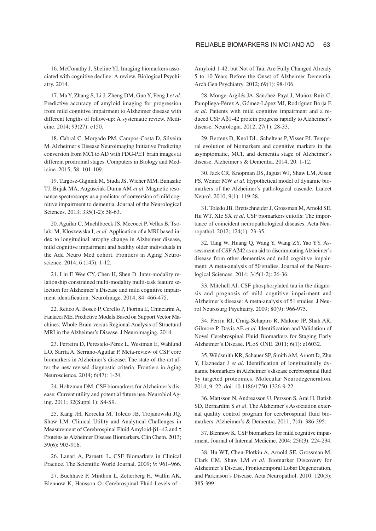16. McConathy J, Sheline YI. Imaging biomarkers associated with cognitive decline: A review. Biological Psychiatry. 2014.

17. Ma Y, Zhang S, Li J, Zheng DM, Guo Y, Feng J *et al*. Predictive accuracy of amyloid imaging for progression from mild cognitive impairment to Alzheimer disease with different lengths of follow-up: A systematic review. Medicine. 2014; 93(27): e150.

18. Cabral C, Morgado PM, Campos-Costa D, Silveira M. Alzheimer s Disease Neuroimaging Initiative Predicting conversion from MCI to AD with FDG-PET brain images at different prodromal stages. Computers in Biology and Medicine. 2015; 58: 101-109.

19. Targosz-Gajniak M, Siuda JS, Wicher MM, Banasikc TJ, Bujak MA, Augusciak-Duma AM *et al*. Magnetic resonance spectroscopy as a predictor of conversion of mild cognitive impairment to dementia. Journal of the Neurological Sciences. 2013; 335(1-2): 58-63.

20. Aguilar C, Muehlboeck JS, Mecocci P, Vellas B, Tsolaki M, Kloszewska I, *et al*. Application of a MRI based index to longitudinal atrophy change in Alzheimer disease, mild cognitive impairment and healthy older individuals in the Add Neuro Med cohort. Frontiers in Aging Neuroscience. 2014; 6 (145): 1-12.

21. Liu F, Wee CY, Chen H, Shen D. Inter-modality relationship constrained multi-modality multi-task feature selection for Alzheimer's Disease and mild cognitive impairment identification. NeuroImage. 2014; 84: 466-475.

22. Retico A, Bosco P, Cerello P, Fiorina E, Chincarini A, Fantacci ME. Predictive Models Based on Support Vector Machines: Whole-Brain versus Regional Analysis of Structural MRI in the Alzheimer's Disease. J Neuroimaging. 2014.

23. Ferreira D, Perestelo-Pérez L, Westman E, Wahlund LO, Sarría A, Serrano-Aguilar P. Meta-review of CSF core biomarkers in Alzheimer's disease: The state-of-the-art after the new revised diagnostic criteria. Frontiers in Aging Neuroscience. 2014; 6(47): 1-24.

24. Holtzman DM. CSF biomarkers for Alzheimer's disease: Current utility and potential future use. Neurobiol Aging. 2011; 32(Suppl 1): S4-S9.

25. Kang JH, Korecka M, Toledo JB, Trojanowski JQ, Shaw LM. Clinical Utility and Analytical Challenges in Measurement of Cerebrospinal Fluid Amyloid-β1–42 and τ Proteins as Alzheimer Disease Biomarkers. Clin Chem. 2013; 59(6): 903-916.

26. Lanari A, Parnetti L. CSF Biomarkers in Clinical Practice. The Scientific World Journal. 2009; 9: 961–966.

27. Buchhave P, Minthon L, Zetterberg H, Wallin AK, Blennow K, Hansson O. Cerebrospinal Fluid Levels of -

Amyloid 1-42, but Not of Tau, Are Fully Changed Already 5 to 10 Years Before the Onset of Alzheimer Dementia. Arch Gen Psychiatry. 2012; 69(1): 98-106.

28. Monge-Argilés JA, Sánchez-Payá J, Muñoz-Ruiz C, Pampliega-Pérez A, Gómez-López MJ, Rodríguez Borja E *et al*. Patients with mild cognitive impairment and a reduced CSF Aβ1-42 protein progress rapidly to Alzheimer's disease. Neurología. 2012; 27(1): 28-33.

29. Bertens D, Knol DL, Scheltens P, Visser PJ. Temporal evolution of biomarkers and cognitive markers in the asymptomatic, MCI, and dementia stage of Alzheimer's disease. Alzheimer s & Dementia. 2014; 20: 1-12.

30. Jack CR, Knopman DS, Jagust WJ, Shaw LM, Aisen PS, Weiner MW *et al*. Hypothetical model of dynamic biomarkers of the Alzheimer's pathological cascade. Lancet Neurol. 2010; 9(1): 119-28.

31. Toledo JB, Brettschneider J, Grossman M, Arnold SE, Hu WT, XIe SX *et al*. CSF biomarkers cutoffs: The importance of coincident neuropathological diseases. Acta Neuropathol. 2012; 124(1): 23-35.

32. Tang W, Huang Q, Wang Y, Wang ZY, Yao YY. Assessment of CSF Aβ42 as an aid to discriminating Alzheimer's disease from other dementias and mild cognitive impairment: A meta-analysis of 50 studies. Journal of the Neurological Sciences. 2014; 345(1-2): 26-36.

33. Mitchell AJ. CSF phosphorylated tau in the diagnosis and prognosis of mild cognitive impairment and Alzheimer's disease: A meta-analysis of 51 studies. J Neurol Neurosurg Psychiatry. 2009; 80(9): 966-975.

34. Perrin RJ, Craig-Schapiro R, Malone JP, Shah AR, Gilmore P, Davis AE *et al*. Identification and Validation of Novel Cerebrospinal Fluid Biomarkers for Staging Early Alzheimer's Disease. PLoS ONE. 2011; 6(1): e16032.

35. Wildsmith KR, Schauer SP, Smith AM, Arnott D, Zhu Y, Haznedar J *et al*. Identification of longitudinally dynamic biomarkers in Alzheimer's disease cerebrospinal fluid by targeted proteomics. Molecular Neurodegeneration. 2014; 9: 22, doi: 10.1186/1750-1326-9-22.

36. Mattsson N, Andreasson U, Persson S, Arai H, Batish SD, Bernardini S *et al*. The Alzheimer's Association external quality control program for cerebrospinal fluid biomarkers. Alzheimer's & Dementia. 2011; 7(4): 386-395.

37. Blennow K. CSF biomarkers for mild cognitive impai rment. Journal of Internal Medicine. 2004; 256(3): 224-234.

38. Hu WT, Chen-Plotkin A, Arnold SE, Grossman M, Clark CM, Shaw LM *et al*. Biomarker Discovery for Alzheimer's Disease, Frontotemporal Lobar Degeneration, and Parkinson's Disease. Acta Neuropathol. 2010; 120(3): 385-399.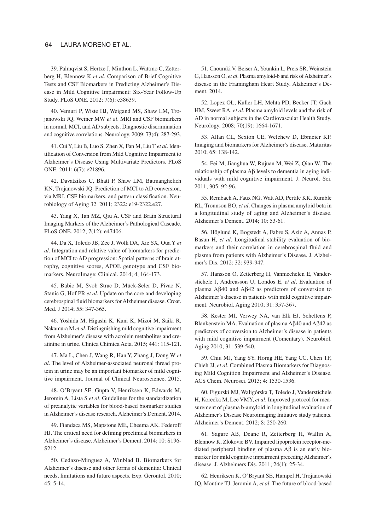#### 64 LAURA MORENO ET AL.

39. Palmqvist S, Hertze J, Minthon L, Wattmo C, Zetterberg H, Blennow K *et al*. Comparison of Brief Cognitive Tests and CSF Biomarkers in Predicting Alzheimer's Disease in Mild Cognitive Impairment: Six-Year Follow-Up Study. PLoS ONE. 2012; 7(6): e38639.

40. Vemuri P, Wiste HJ, Weigand MS, Shaw LM, Trojanowski JQ, Weiner MW *et al*. MRI and CSF biomarkers in normal, MCI, and AD subjects. Diagnostic discrimination and cognitive correlations. Neurology. 2009; 73(4): 287-293.

41. Cui Y, Liu B, Luo S, Zhen X, Fan M, Liu T *et al*. Identification of Conversion from Mild Cognitive Impairment to Alzheimer's Disease Using Multivariate Predictors. PLoS ONE. 2011; 6(7): e21896.

42. Davatzikos C, Bhatt P, Shaw LM, Batmanghelich KN, Trojanowski JQ. Prediction of MCI to AD conversion, via MRI, CSF biomarkers, and pattern classification. Neurobiology of Aging 32. 2011; 2322: e19-2322.e27.

43. Yang X, Tan MZ, Qiu A. CSF and Brain Structural Imaging Markers of the Alzheimer's Pathological Cascade. PLoS ONE. 2012; 7(12): e47406.

44. Da X, Toledo JB, Zee J, Wolk DA, Xie SX, Oua Y *et al*. Integration and relative value of biomarkers for prediction of MCI to AD progression: Spatial patterns of brain atrophy, cognitive scores, APOE genotype and CSF biomarkers. NeuroImage: Clinical. 2014; 4, 164-173.

45. Babic M, Svob Strac D, Mück-Seler D, Pivac N, Stanic G, Hof PR *et al*. Update on the core and developing cerebrospinal fluid biomarkers for Alzheimer disease. Croat. Med. J 2014; 55: 347-365.

46. Yoshida M, Higashi K, Kuni K, Mizoi M, Saiki R, Nakamura M *et al*. Distinguishing mild cognitive impairment from Alzheimer's disease with acrolein metabolites and creatinine in urine. Clinica Chimica Acta. 2015; 441: 115-121.

47. Ma L, Chen J, Wang R, Han Y, Zhang J, Dong W *et al*. The level of Alzheimer-associated neuronal thread protein in urine may be an important biomarker of mild cognitive impairment. Journal of Clinical Neuroscience. 2015.

48. O'Bryant SE, Gupta V, Henriksen K, Edwards M, Jeromin A, Lista S *et al*. Guidelines for the standardization of preanalytic variables for blood-based biomarker studies in Alzheimer's disease research. Alzheimer's Dement. 2014.

49. Fiandaca MS, Mapstone ME, Cheema AK, Federoff HJ. The critical need for defining preclinical biomarkers in Alzheimer's disease. Alzheimer's Dement. 2014; 10: S196- S212.

50. Cedazo-Minguez A, Winblad B. Biomarkers for Alzheimer's disease and other forms of dementia: Clinical needs, limitations and future aspects. Exp. Gerontol. 2010; 45: 5-14.

51. Chouraki V, Beiser A, Younkin L, Preis SR, Weinstein G, Hansson O, *et al*. Plasma amyloid-b and risk of Alzheimer's disease in the Framingham Heart Study. Alzheimer's Dement. 2014.

52. Lopez OL, Kuller LH, Mehta PD, Becker JT, Gach HM, Sweet RA, *et al*. Plasma amyloid levels and the risk of AD in normal subjects in the Cardiovascular Health Study. Neurology. 2008; 70(19): 1664-1671.

53. Allan CL, Sexton CE, Welchew D, Ebmeier KP. Imaging and biomarkers for Alzheimer's disease. Maturitas 2010; 65: 138-142.

54. Fei M, Jianghua W, Rujuan M, Wei Z, Qian W. The relationship of plasma Aβ levels to dementia in aging individuals with mild cognitive impairment. J. Neurol. Sci. 2011; 305: 92-96.

55. Rembach A, Faux NG, Watt AD, Pertile KK, Rumble RL, Trounson BO, *et al*. Changes in plasma amyloid beta in a longitudinal study of aging and Alzheimer's disease. Alzheimer's Dement. 2014; 10: 53-61.

56. Höglund K, Bogstedt A, Fabre S, Aziz A, Annas P, Basun H, *et al*. Longitudinal stability evaluation of biomarkers and their correlation in cerebrospinal fluid and plasma from patients with Alzheimer's Disease. J. Alzhei mer's Dis. 2012; 32: 939-947.

57. Hansson O, Zetterberg H, Vanmechelen E, Vanderstichele J, Andreasson U, Londos E, *et al*. Evaluation of plasma Aβ40 and Aβ42 as predictors of conversion to Alzheimer's disease in patients with mild cognitive impairment. Neurobiol. Aging 2010; 31: 357-367.

58. Kester MI, Verwey NA, van Elk EJ, Scheltens P, Blankenstein MA. Evaluation of plasma Aβ40 and Aβ42 as predictors of conversion to Alzheimer's disease in patients with mild cognitive impairment (Comentary). Neurobiol. Aging 2010; 31: 539-540.

59. Chiu MJ, Yang SY, Horng HE, Yang CC, Chen TF, Chieh JJ, *et al*. Combined Plasma Biomarkers for Diagnosing Mild Cognition Impairment and Alzheimer's Disease. ACS Chem. Neurosci. 2013; 4: 1530-1536.

60. Figurski MJ, Waligórska T, Toledo J, Vanderstichele H, Korecka M, Lee VMY, *et al*. Improved protocol for measurement of plasma b-amyloid in longitudinal evaluation of Alzheimer's Disease Neuroimaging Initiative study patients. Alzheimer's Dement. 2012; 8: 250-260.

61. Sagare AB, Deane R, Zetterberg H, Wallin A, Blennow K, Zlokovic BV. Impaired lipoprotein receptor-mediated peripheral binding of plasma Aβ is an early biomarker for mild cognitive impairment preceding Alzheimer's disease. J. Alzheimers Dis. 2011; 24(1): 25-34.

62. Henriksen K, O'Bryant SE, Hampel H, Trojanowski JQ, Montine TJ, Jeromin A, *et al*. The future of blood-based